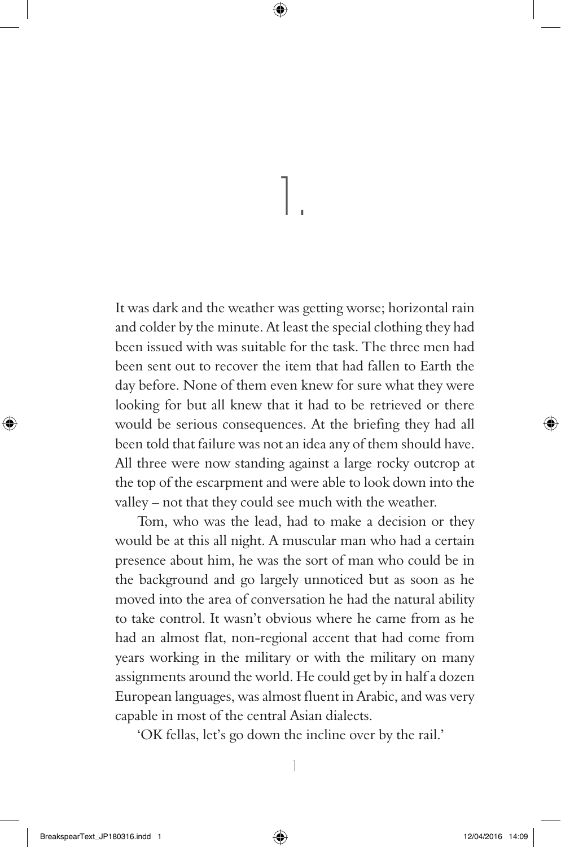1.

It was dark and the weather was getting worse; horizontal rain and colder by the minute. At least the special clothing they had been issued with was suitable for the task. The three men had been sent out to recover the item that had fallen to Earth the day before. None of them even knew for sure what they were looking for but all knew that it had to be retrieved or there would be serious consequences. At the briefing they had all been told that failure was not an idea any of them should have. All three were now standing against a large rocky outcrop at the top of the escarpment and were able to look down into the valley – not that they could see much with the weather.

Tom, who was the lead, had to make a decision or they would be at this all night. A muscular man who had a certain presence about him, he was the sort of man who could be in the background and go largely unnoticed but as soon as he moved into the area of conversation he had the natural ability to take control. It wasn't obvious where he came from as he had an almost flat, non-regional accent that had come from years working in the military or with the military on many assignments around the world. He could get by in half a dozen European languages, was almost fluent in Arabic, and was very capable in most of the central Asian dialects.

'OK fellas, let's go down the incline over by the rail.'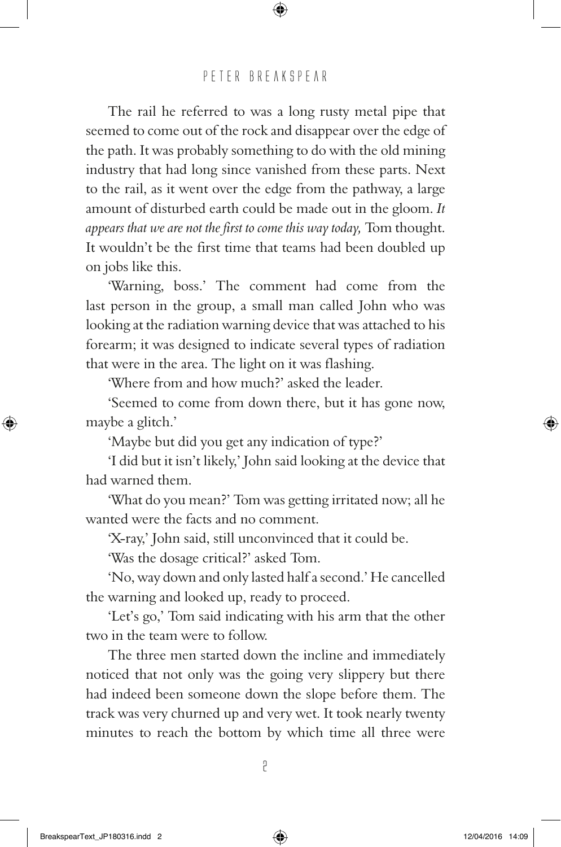The rail he referred to was a long rusty metal pipe that seemed to come out of the rock and disappear over the edge of the path. It was probably something to do with the old mining industry that had long since vanished from these parts. Next to the rail, as it went over the edge from the pathway, a large amount of disturbed earth could be made out in the gloom. *It appears that we are not the first to come this way today,* Tom thought. It wouldn't be the first time that teams had been doubled up on jobs like this.

'Warning, boss.' The comment had come from the last person in the group, a small man called John who was looking at the radiation warning device that was attached to his forearm; it was designed to indicate several types of radiation that were in the area. The light on it was flashing.

'Where from and how much?' asked the leader.

'Seemed to come from down there, but it has gone now, maybe a glitch.'

'Maybe but did you get any indication of type?'

'I did but it isn't likely,' John said looking at the device that had warned them.

'What do you mean?' Tom was getting irritated now; all he wanted were the facts and no comment.

'X-ray,' John said, still unconvinced that it could be.

'Was the dosage critical?' asked Tom.

'No, way down and only lasted half a second.' He cancelled the warning and looked up, ready to proceed.

'Let's go,' Tom said indicating with his arm that the other two in the team were to follow.

The three men started down the incline and immediately noticed that not only was the going very slippery but there had indeed been someone down the slope before them. The track was very churned up and very wet. It took nearly twenty minutes to reach the bottom by which time all three were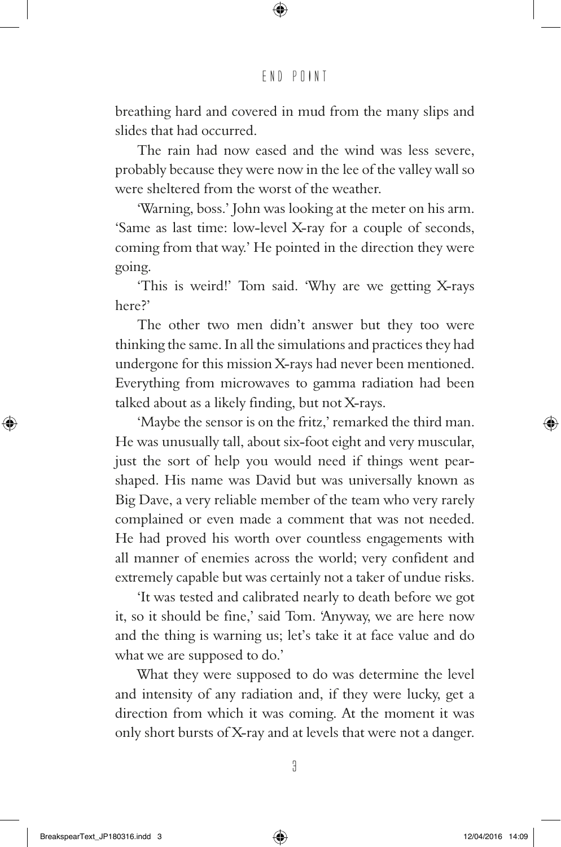breathing hard and covered in mud from the many slips and slides that had occurred.

The rain had now eased and the wind was less severe, probably because they were now in the lee of the valley wall so were sheltered from the worst of the weather.

'Warning, boss.' John was looking at the meter on his arm. 'Same as last time: low-level X-ray for a couple of seconds, coming from that way.' He pointed in the direction they were going.

'This is weird!' Tom said. 'Why are we getting X-rays here?'

The other two men didn't answer but they too were thinking the same. In all the simulations and practices they had undergone for this mission X-rays had never been mentioned. Everything from microwaves to gamma radiation had been talked about as a likely finding, but not X-rays.

'Maybe the sensor is on the fritz,' remarked the third man. He was unusually tall, about six-foot eight and very muscular, just the sort of help you would need if things went pearshaped. His name was David but was universally known as Big Dave, a very reliable member of the team who very rarely complained or even made a comment that was not needed. He had proved his worth over countless engagements with all manner of enemies across the world; very confident and extremely capable but was certainly not a taker of undue risks.

'It was tested and calibrated nearly to death before we got it, so it should be fine,' said Tom. 'Anyway, we are here now and the thing is warning us; let's take it at face value and do what we are supposed to do.'

What they were supposed to do was determine the level and intensity of any radiation and, if they were lucky, get a direction from which it was coming. At the moment it was only short bursts of X-ray and at levels that were not a danger.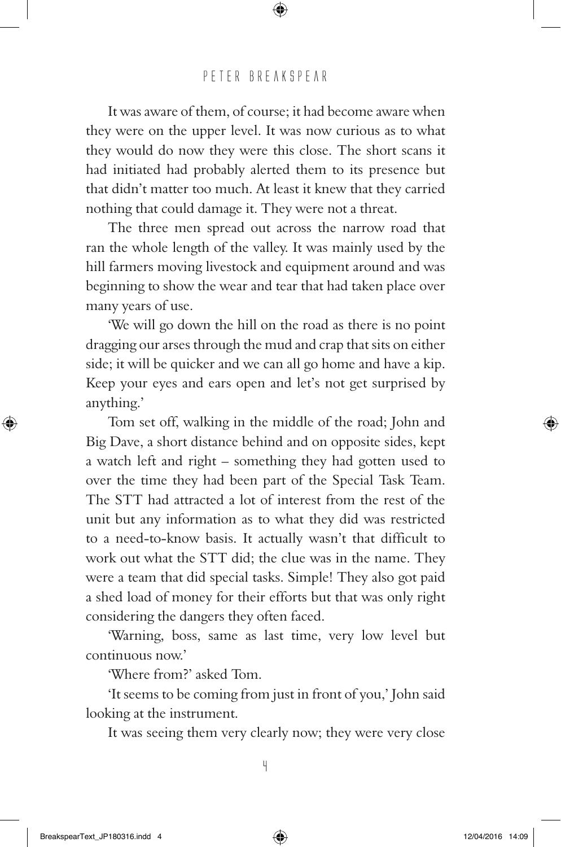It was aware of them, of course; it had become aware when they were on the upper level. It was now curious as to what they would do now they were this close. The short scans it had initiated had probably alerted them to its presence but that didn't matter too much. At least it knew that they carried nothing that could damage it. They were not a threat.

The three men spread out across the narrow road that ran the whole length of the valley. It was mainly used by the hill farmers moving livestock and equipment around and was beginning to show the wear and tear that had taken place over many years of use.

'We will go down the hill on the road as there is no point dragging our arses through the mud and crap that sits on either side; it will be quicker and we can all go home and have a kip. Keep your eyes and ears open and let's not get surprised by anything.'

Tom set off, walking in the middle of the road; John and Big Dave, a short distance behind and on opposite sides, kept a watch left and right – something they had gotten used to over the time they had been part of the Special Task Team. The STT had attracted a lot of interest from the rest of the unit but any information as to what they did was restricted to a need-to-know basis. It actually wasn't that difficult to work out what the STT did; the clue was in the name. They were a team that did special tasks. Simple! They also got paid a shed load of money for their efforts but that was only right considering the dangers they often faced.

'Warning, boss, same as last time, very low level but continuous now.'

'Where from?' asked Tom.

'It seems to be coming from just in front of you,' John said looking at the instrument.

It was seeing them very clearly now; they were very close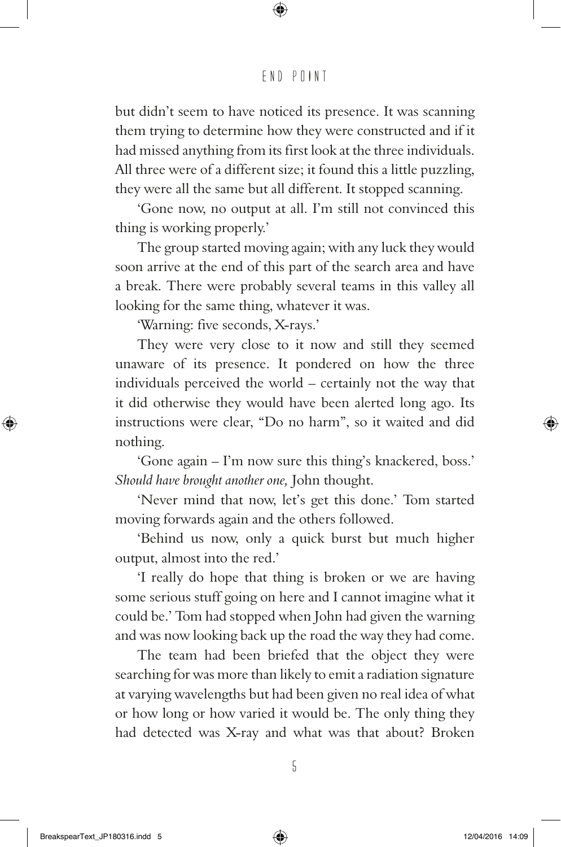but didn't seem to have noticed its presence. It was scanning them trying to determine how they were constructed and if it had missed anything from its first look at the three individuals. All three were of a different size; it found this a little puzzling, they were all the same but all different. It stopped scanning.

'Gone now, no output at all. I'm still not convinced this thing is working properly.'

The group started moving again; with any luck they would soon arrive at the end of this part of the search area and have a break. There were probably several teams in this valley all looking for the same thing, whatever it was.

'Warning: five seconds, X-rays.'

They were very close to it now and still they seemed unaware of its presence. It pondered on how the three individuals perceived the world – certainly not the way that it did otherwise they would have been alerted long ago. Its instructions were clear, "Do no harm", so it waited and did nothing.

'Gone again – I'm now sure this thing's knackered, boss.' *Should have brought another one,* John thought.

'Never mind that now, let's get this done.' Tom started moving forwards again and the others followed.

'Behind us now, only a quick burst but much higher output, almost into the red.'

'I really do hope that thing is broken or we are having some serious stuff going on here and I cannot imagine what it could be.' Tom had stopped when John had given the warning and was now looking back up the road the way they had come.

The team had been briefed that the object they were searching for was more than likely to emit a radiation signature at varying wavelengths but had been given no real idea of what or how long or how varied it would be. The only thing they had detected was X-ray and what was that about? Broken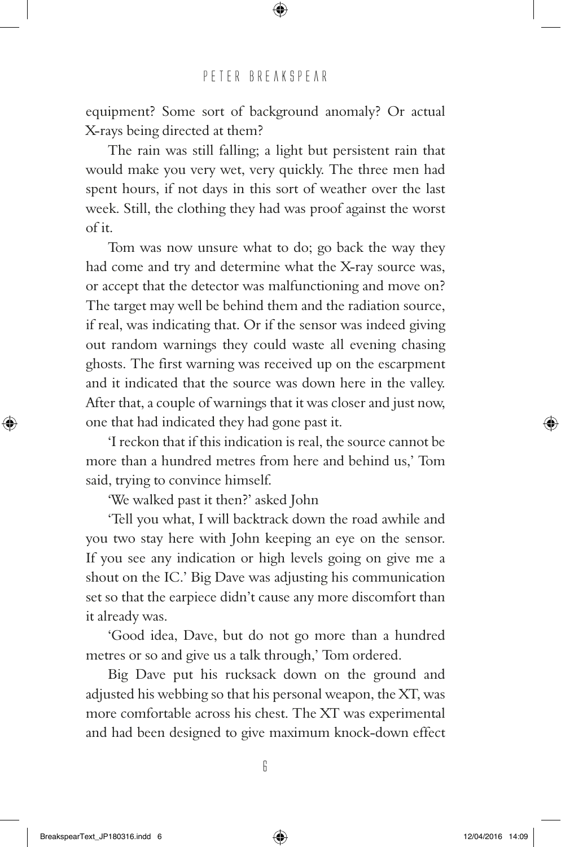equipment? Some sort of background anomaly? Or actual X-rays being directed at them?

The rain was still falling; a light but persistent rain that would make you very wet, very quickly. The three men had spent hours, if not days in this sort of weather over the last week. Still, the clothing they had was proof against the worst of it.

Tom was now unsure what to do; go back the way they had come and try and determine what the X-ray source was, or accept that the detector was malfunctioning and move on? The target may well be behind them and the radiation source, if real, was indicating that. Or if the sensor was indeed giving out random warnings they could waste all evening chasing ghosts. The first warning was received up on the escarpment and it indicated that the source was down here in the valley. After that, a couple of warnings that it was closer and just now, one that had indicated they had gone past it.

'I reckon that if this indication is real, the source cannot be more than a hundred metres from here and behind us,' Tom said, trying to convince himself.

'We walked past it then?' asked John

'Tell you what, I will backtrack down the road awhile and you two stay here with John keeping an eye on the sensor. If you see any indication or high levels going on give me a shout on the IC.' Big Dave was adjusting his communication set so that the earpiece didn't cause any more discomfort than it already was.

'Good idea, Dave, but do not go more than a hundred metres or so and give us a talk through,' Tom ordered.

Big Dave put his rucksack down on the ground and adjusted his webbing so that his personal weapon, the XT, was more comfortable across his chest. The XT was experimental and had been designed to give maximum knock-down effect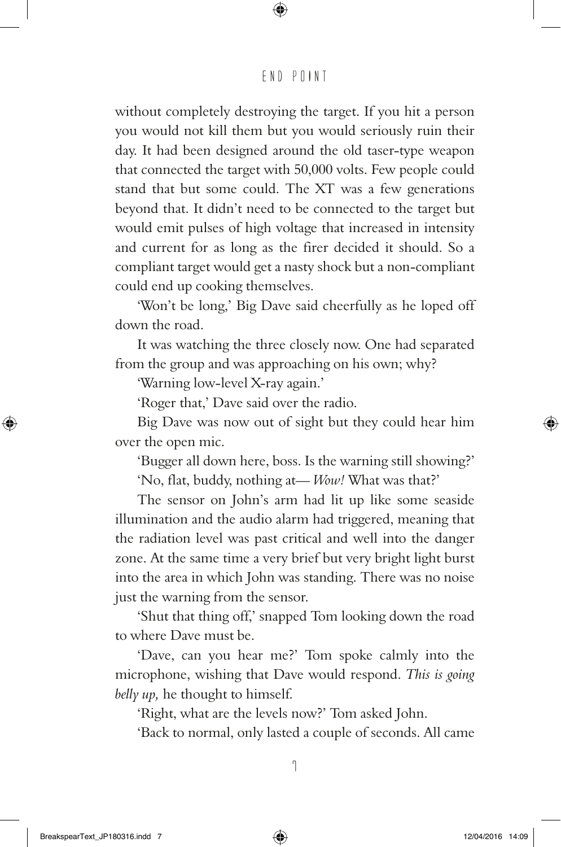without completely destroying the target. If you hit a person you would not kill them but you would seriously ruin their day. It had been designed around the old taser-type weapon that connected the target with 50,000 volts. Few people could stand that but some could. The XT was a few generations beyond that. It didn't need to be connected to the target but would emit pulses of high voltage that increased in intensity and current for as long as the firer decided it should. So a compliant target would get a nasty shock but a non-compliant could end up cooking themselves.

'Won't be long,' Big Dave said cheerfully as he loped off down the road.

It was watching the three closely now. One had separated from the group and was approaching on his own; why?

'Warning low-level X-ray again.'

'Roger that,' Dave said over the radio.

Big Dave was now out of sight but they could hear him over the open mic.

'Bugger all down here, boss. Is the warning still showing?' 'No, flat, buddy, nothing at— *Wow!* What was that?'

The sensor on John's arm had lit up like some seaside illumination and the audio alarm had triggered, meaning that the radiation level was past critical and well into the danger zone. At the same time a very brief but very bright light burst into the area in which John was standing. There was no noise just the warning from the sensor.

'Shut that thing off,' snapped Tom looking down the road to where Dave must be.

'Dave, can you hear me?' Tom spoke calmly into the microphone, wishing that Dave would respond. *This is going belly up,* he thought to himself.

'Right, what are the levels now?' Tom asked John.

'Back to normal, only lasted a couple of seconds. All came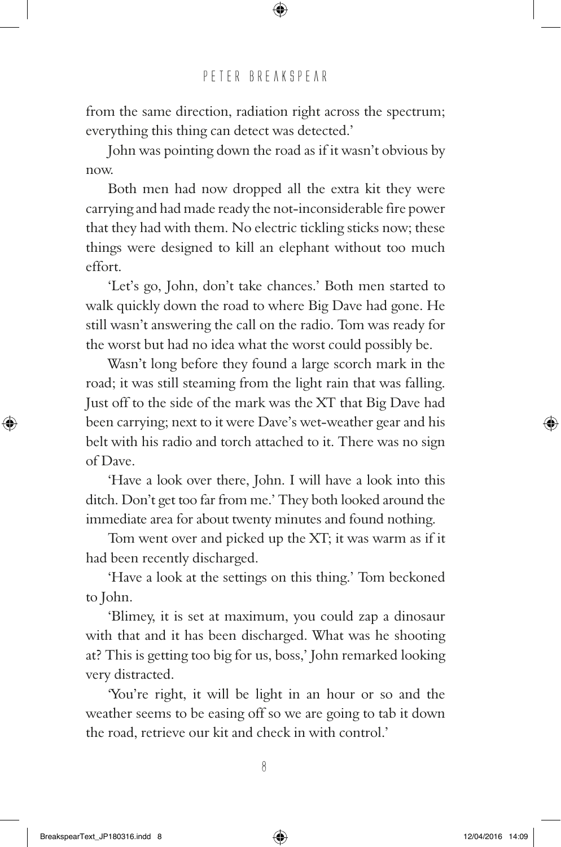from the same direction, radiation right across the spectrum; everything this thing can detect was detected.'

John was pointing down the road as if it wasn't obvious by now.

Both men had now dropped all the extra kit they were carrying and had made ready the not-inconsiderable fire power that they had with them. No electric tickling sticks now; these things were designed to kill an elephant without too much effort.

'Let's go, John, don't take chances.' Both men started to walk quickly down the road to where Big Dave had gone. He still wasn't answering the call on the radio. Tom was ready for the worst but had no idea what the worst could possibly be.

Wasn't long before they found a large scorch mark in the road; it was still steaming from the light rain that was falling. Just off to the side of the mark was the XT that Big Dave had been carrying; next to it were Dave's wet-weather gear and his belt with his radio and torch attached to it. There was no sign of Dave.

'Have a look over there, John. I will have a look into this ditch. Don't get too far from me.' They both looked around the immediate area for about twenty minutes and found nothing.

Tom went over and picked up the XT; it was warm as if it had been recently discharged.

'Have a look at the settings on this thing.' Tom beckoned to John.

'Blimey, it is set at maximum, you could zap a dinosaur with that and it has been discharged. What was he shooting at? This is getting too big for us, boss,' John remarked looking very distracted.

'You're right, it will be light in an hour or so and the weather seems to be easing off so we are going to tab it down the road, retrieve our kit and check in with control.'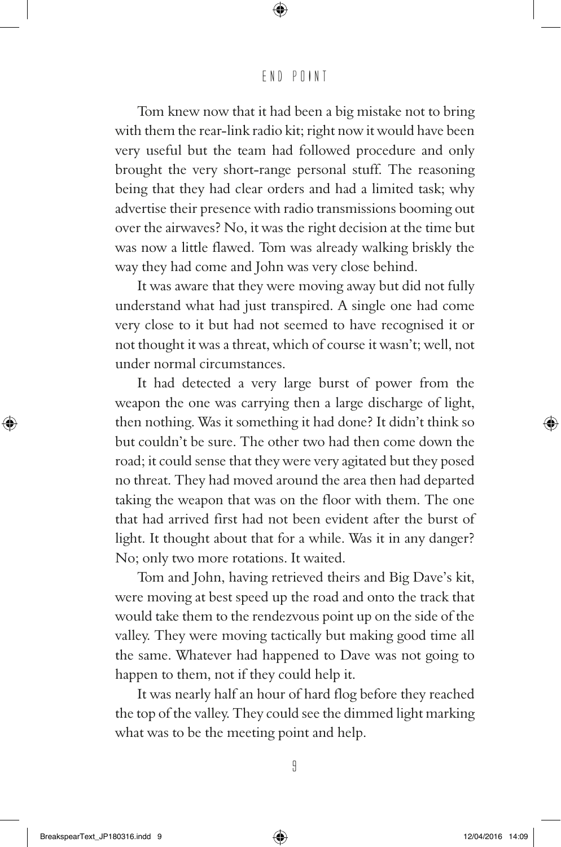Tom knew now that it had been a big mistake not to bring with them the rear-link radio kit; right now it would have been very useful but the team had followed procedure and only brought the very short-range personal stuff. The reasoning being that they had clear orders and had a limited task; why advertise their presence with radio transmissions booming out over the airwaves? No, it was the right decision at the time but was now a little flawed. Tom was already walking briskly the way they had come and John was very close behind.

It was aware that they were moving away but did not fully understand what had just transpired. A single one had come very close to it but had not seemed to have recognised it or not thought it was a threat, which of course it wasn't; well, not under normal circumstances.

It had detected a very large burst of power from the weapon the one was carrying then a large discharge of light, then nothing. Was it something it had done? It didn't think so but couldn't be sure. The other two had then come down the road; it could sense that they were very agitated but they posed no threat. They had moved around the area then had departed taking the weapon that was on the floor with them. The one that had arrived first had not been evident after the burst of light. It thought about that for a while. Was it in any danger? No; only two more rotations. It waited.

Tom and John, having retrieved theirs and Big Dave's kit, were moving at best speed up the road and onto the track that would take them to the rendezvous point up on the side of the valley. They were moving tactically but making good time all the same. Whatever had happened to Dave was not going to happen to them, not if they could help it.

It was nearly half an hour of hard flog before they reached the top of the valley. They could see the dimmed light marking what was to be the meeting point and help.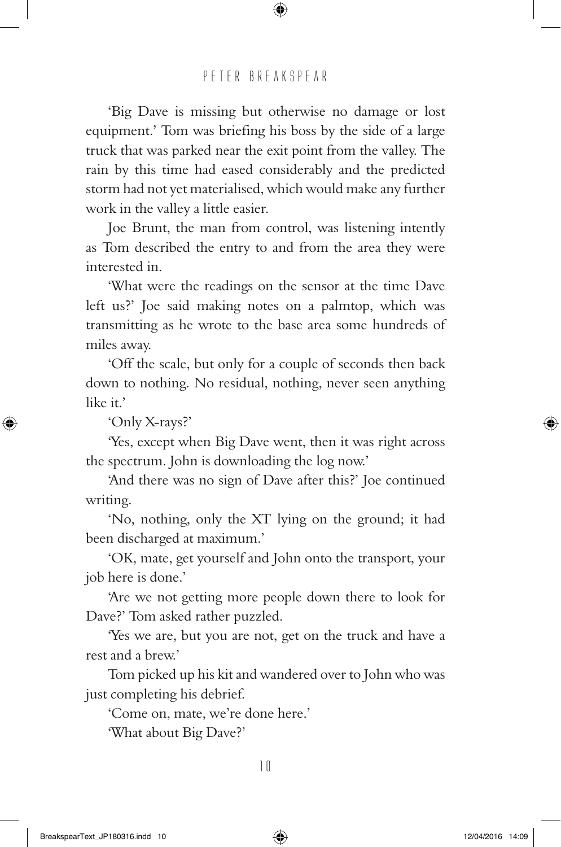'Big Dave is missing but otherwise no damage or lost equipment.' Tom was briefing his boss by the side of a large truck that was parked near the exit point from the valley. The rain by this time had eased considerably and the predicted storm had not yet materialised, which would make any further work in the valley a little easier.

Joe Brunt, the man from control, was listening intently as Tom described the entry to and from the area they were interested in.

'What were the readings on the sensor at the time Dave left us?' Joe said making notes on a palmtop, which was transmitting as he wrote to the base area some hundreds of miles away.

'Off the scale, but only for a couple of seconds then back down to nothing. No residual, nothing, never seen anything like it.'

'Only X-rays?'

'Yes, except when Big Dave went, then it was right across the spectrum. John is downloading the log now.'

'And there was no sign of Dave after this?' Joe continued writing.

'No, nothing, only the XT lying on the ground; it had been discharged at maximum.'

'OK, mate, get yourself and John onto the transport, your job here is done.'

'Are we not getting more people down there to look for Dave?' Tom asked rather puzzled.

'Yes we are, but you are not, get on the truck and have a rest and a brew.'

Tom picked up his kit and wandered over to John who was just completing his debrief.

'Come on, mate, we're done here.'

'What about Big Dave?'